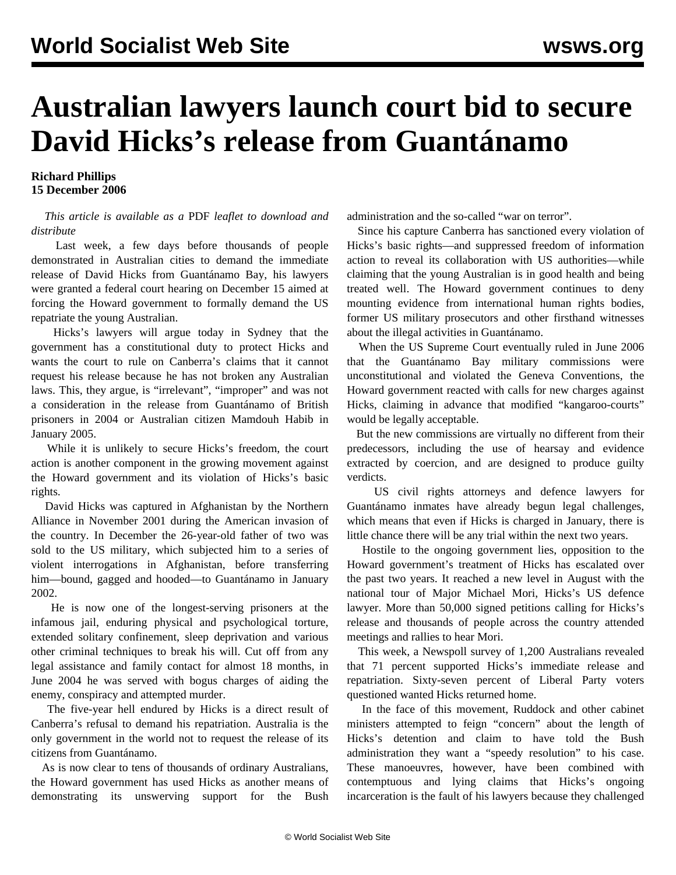## **Australian lawyers launch court bid to secure David Hicks's release from Guantánamo**

**Richard Phillips 15 December 2006**

## *This article is available as a* PDF *leaflet to download and distribute*

 Last week, a few days before thousands of people demonstrated in Australian cities to demand the immediate release of David Hicks from Guantánamo Bay, his lawyers were granted a federal court hearing on December 15 aimed at forcing the Howard government to formally demand the US repatriate the young Australian.

 Hicks's lawyers will argue today in Sydney that the government has a constitutional duty to protect Hicks and wants the court to rule on Canberra's claims that it cannot request his release because he has not broken any Australian laws. This, they argue, is "irrelevant", "improper" and was not a consideration in the release from Guantánamo of British prisoners in 2004 or Australian citizen Mamdouh Habib in January 2005.

 While it is unlikely to secure Hicks's freedom, the court action is another component in the growing movement against the Howard government and its violation of Hicks's basic rights.

 David Hicks was captured in Afghanistan by the Northern Alliance in November 2001 during the American invasion of the country. In December the 26-year-old father of two was sold to the US military, which subjected him to a series of violent interrogations in Afghanistan, before transferring him—bound, gagged and hooded—to Guantánamo in January 2002.

 He is now one of the longest-serving prisoners at the infamous jail, enduring physical and psychological torture, extended solitary confinement, sleep deprivation and various other criminal techniques to break his will. Cut off from any legal assistance and family contact for almost 18 months, in June 2004 he was served with bogus charges of aiding the enemy, conspiracy and attempted murder.

 The five-year hell endured by Hicks is a direct result of Canberra's refusal to demand his repatriation. Australia is the only government in the world not to request the release of its citizens from Guantánamo.

 As is now clear to tens of thousands of ordinary Australians, the Howard government has used Hicks as another means of demonstrating its unswerving support for the Bush administration and the so-called "war on terror".

 Since his capture Canberra has sanctioned every violation of Hicks's basic rights—and suppressed freedom of information action to reveal its collaboration with US authorities—while claiming that the young Australian is in good health and being treated well. The Howard government continues to deny mounting evidence from international human rights bodies, former US military prosecutors and other firsthand witnesses about the illegal activities in Guantánamo.

 When the US Supreme Court eventually ruled in June 2006 that the Guantánamo Bay military commissions were unconstitutional and violated the Geneva Conventions, the Howard government reacted with calls for new charges against Hicks, claiming in advance that modified "kangaroo-courts" would be legally acceptable.

 But the new commissions are virtually no different from their predecessors, including the use of hearsay and evidence extracted by coercion, and are designed to produce guilty verdicts.

 US civil rights attorneys and defence lawyers for Guantánamo inmates have already begun legal challenges, which means that even if Hicks is charged in January, there is little chance there will be any trial within the next two years.

 Hostile to the ongoing government lies, opposition to the Howard government's treatment of Hicks has escalated over the past two years. It reached a new level in August with the national tour of Major Michael Mori, Hicks's US defence lawyer. More than 50,000 signed petitions calling for Hicks's release and thousands of people across the country attended meetings and rallies to hear Mori.

 This week, a Newspoll survey of 1,200 Australians revealed that 71 percent supported Hicks's immediate release and repatriation. Sixty-seven percent of Liberal Party voters questioned wanted Hicks returned home.

 In the face of this movement, Ruddock and other cabinet ministers attempted to feign "concern" about the length of Hicks's detention and claim to have told the Bush administration they want a "speedy resolution" to his case. These manoeuvres, however, have been combined with contemptuous and lying claims that Hicks's ongoing incarceration is the fault of his lawyers because they challenged